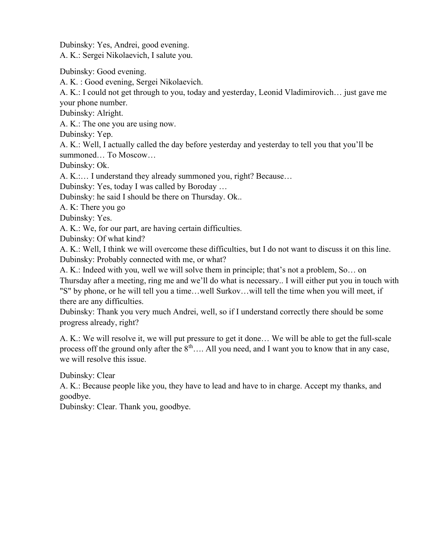Dubinsky: Yes, Andrei, good evening. A. K.: Sergei Nikolaevich, I salute you.

Dubinsky: Good evening.

A. K. : Good evening, Sergei Nikolaevich.

A. K.: I could not get through to you, today and yesterday, Leonid Vladimirovich… just gave me your phone number.

Dubinsky: Alright.

A. K.: The one you are using now.

Dubinsky: Yep.

A. K.: Well, I actually called the day before yesterday and yesterday to tell you that you'll be summoned… To Moscow…

Dubinsky: Ok.

A. K.:… I understand they already summoned you, right? Because…

Dubinsky: Yes, today I was called by Boroday …

Dubinsky: he said I should be there on Thursday. Ok..

A. K: There you go

Dubinsky: Yes.

A. K.: We, for our part, are having certain difficulties.

Dubinsky: Of what kind?

A. K.: Well, I think we will overcome these difficulties, but I do not want to discuss it on this line. Dubinsky: Probably connected with me, or what?

A. K.: Indeed with you, well we will solve them in principle; that's not a problem, So… on

Thursday after a meeting, ring me and we'll do what is necessary.. I will either put you in touch with "S" by phone, or he will tell you a time…well Surkov…will tell the time when you will meet, if there are any difficulties.

Dubinsky: Thank you very much Andrei, well, so if I understand correctly there should be some progress already, right?

A. K.: We will resolve it, we will put pressure to get it done… We will be able to get the full-scale process off the ground only after the  $8<sup>th</sup>$ …. All you need, and I want you to know that in any case, we will resolve this issue.

Dubinsky: Clear

A. K.: Because people like you, they have to lead and have to in charge. Accept my thanks, and goodbye.

Dubinsky: Clear. Thank you, goodbye.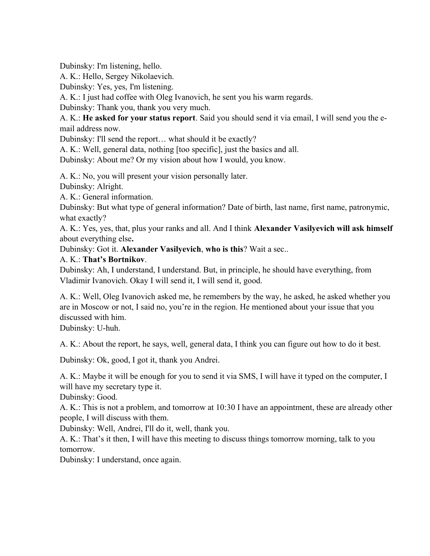Dubinsky: I'm listening, hello.

A. K.: Hello, Sergey Nikolaevich.

Dubinsky: Yes, yes, I'm listening.

A. K.: I just had coffee with Oleg Ivanovich, he sent you his warm regards.

Dubinsky: Thank you, thank you very much.

A. K.: He asked for your status report. Said you should send it via email, I will send you the email address now.

Dubinsky: I'll send the report… what should it be exactly?

A. K.: Well, general data, nothing [too specific], just the basics and all.

Dubinsky: About me? Or my vision about how I would, you know.

A. K.: No, you will present your vision personally later.

Dubinsky: Alright.

A. K.: General information.

Dubinsky: But what type of general information? Date of birth, last name, first name, patronymic, what exactly?

A. K.: Yes, yes, that, plus your ranks and all. And I think Alexander Vasilyevich will ask himself about everything else.

Dubinsky: Got it. Alexander Vasilyevich, who is this? Wait a sec..

## A. K.: That's Bortnikov.

Dubinsky: Ah, I understand, I understand. But, in principle, he should have everything, from Vladimir Ivanovich. Okay I will send it, I will send it, good.

A. K.: Well, Oleg Ivanovich asked me, he remembers by the way, he asked, he asked whether you are in Moscow or not, I said no, you're in the region. He mentioned about your issue that you discussed with him.

Dubinsky: U-huh.

A. K.: About the report, he says, well, general data, I think you can figure out how to do it best.

Dubinsky: Ok, good, I got it, thank you Andrei.

A. K.: Maybe it will be enough for you to send it via SMS, I will have it typed on the computer, I will have my secretary type it.

Dubinsky: Good.

A. K.: This is not a problem, and tomorrow at 10:30 I have an appointment, these are already other people, I will discuss with them.

Dubinsky: Well, Andrei, I'll do it, well, thank you.

A. K.: That's it then, I will have this meeting to discuss things tomorrow morning, talk to you tomorrow.

Dubinsky: I understand, once again.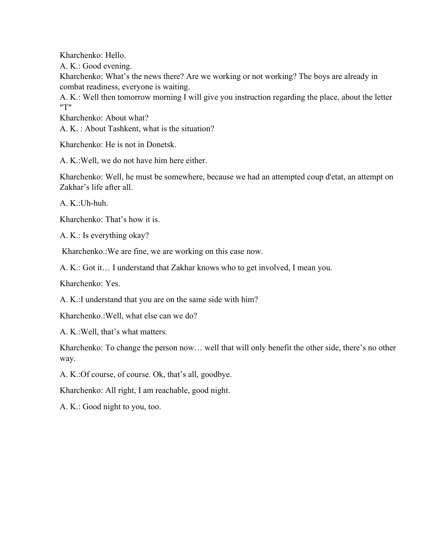Kharchenko: Hello.

A. K.: Good evening.

Kharchenko: What's the news there? Are we working or not working? The boys are already in combat readiness, everyone is waiting.

A. K.: Well then tomorrow morning I will give you instruction regarding the place, about the letter "T"

Kharchenko: About what?

A. K. : About Tashkent, what is the situation?

Kharchenko: He is not in Donetsk.

A. K.:Well, we do not have him here either.

Kharchenko: Well, he must be somewhere, because we had an attempted coup d'etat, an attempt on Zakhar's life after all.

A. K.:Uh-huh.

Kharchenko: That's how it is.

A. K.: Is everything okay?

Kharchenko.:We are fine, we are working on this case now.

A. K.: Got it… I understand that Zakhar knows who to get involved, I mean you.

Kharchenko: Yes.

A. K.:I understand that you are on the same side with him?

Kharchenko.:Well, what else can we do?

A. K.:Well, that's what matters.

Kharchenko: To change the person now… well that will only benefit the other side, there's no other way.

A. K.:Of course, of course. Ok, that's all, goodbye.

Kharchenko: All right, I am reachable, good night.

A. K.: Good night to you, too.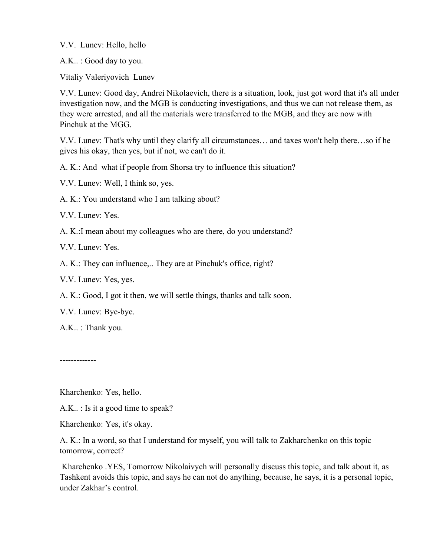V.V. Lunev: Hello, hello

A.K.. : Good day to you.

Vitaliy Valeriyovich Lunev

V.V. Lunev: Good day, Andrei Nikolaevich, there is a situation, look, just got word that it's all under investigation now, and the MGB is conducting investigations, and thus we can not release them, as they were arrested, and all the materials were transferred to the MGB, and they are now with Pinchuk at the MGG.

V.V. Lunev: That's why until they clarify all circumstances… and taxes won't help there…so if he gives his okay, then yes, but if not, we can't do it.

A. K.: And what if people from Shorsa try to influence this situation?

V.V. Lunev: Well, I think so, yes.

A. K.: You understand who I am talking about?

V.V. Lunev: Yes.

A. K.:I mean about my colleagues who are there, do you understand?

V.V. Lunev: Yes.

A. K.: They can influence,.. They are at Pinchuk's office, right?

V.V. Lunev: Yes, yes.

A. K.: Good, I got it then, we will settle things, thanks and talk soon.

V.V. Lunev: Bye-bye.

A.K.. : Thank you.

-------------

Kharchenko: Yes, hello.

A.K.. : Is it a good time to speak?

Kharchenko: Yes, it's okay.

A. K.: In a word, so that I understand for myself, you will talk to Zakharchenko on this topic tomorrow, correct?

 Kharchenko .YES, Tomorrow Nikolaivych will personally discuss this topic, and talk about it, as Tashkent avoids this topic, and says he can not do anything, because, he says, it is a personal topic, under Zakhar's control.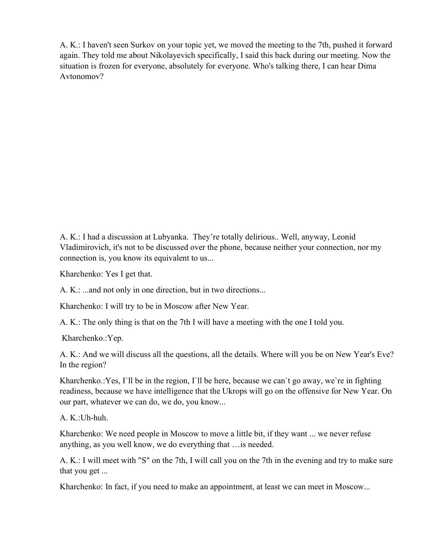A. K.: I haven't seen Surkov on your topic yet, we moved the meeting to the 7th, pushed it forward again. They told me about Nikolayevich specifically, I said this back during our meeting. Now the situation is frozen for everyone, absolutely for everyone. Who's talking there, I can hear Dima Avtonomov?

A. K.: I had a discussion at Lubyanka. They're totally delirious.. Well, anyway, Leonid Vladimirovich, it's not to be discussed over the phone, because neither your connection, nor my connection is, you know its equivalent to us...

Kharchenko: Yes I get that.

A. K.: ...and not only in one direction, but in two directions...

Kharchenko: I will try to be in Moscow after New Year.

A. K.: The only thing is that on the 7th I will have a meeting with the one I told you.

Kharchenko.:Yep.

A. K.: And we will discuss all the questions, all the details. Where will you be on New Year's Eve? In the region?

Kharchenko.: Yes, I'll be in the region, I'll be here, because we can't go away, we're in fighting readiness, because we have intelligence that the Ukrops will go on the offensive for New Year. On our part, whatever we can do, we do, you know...

A. K.:Uh-huh.

Kharchenko: We need people in Moscow to move a little bit, if they want ... we never refuse anything, as you well know, we do everything that …is needed.

A. K.: I will meet with "S" on the 7th, I will call you on the 7th in the evening and try to make sure that you get ...

Kharchenko: In fact, if you need to make an appointment, at least we can meet in Moscow...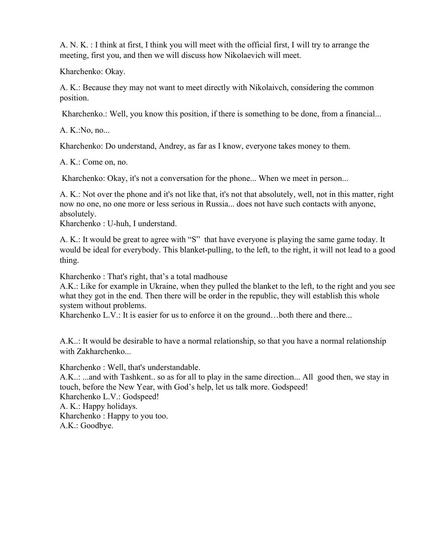A. N. K. : I think at first, I think you will meet with the official first, I will try to arrange the meeting, first you, and then we will discuss how Nikolaevich will meet.

Kharchenko: Okay.

A. K.: Because they may not want to meet directly with Nikolaivch, considering the common position.

Kharchenko.: Well, you know this position, if there is something to be done, from a financial...

A. K.:No, no...

Kharchenko: Do understand, Andrey, as far as I know, everyone takes money to them.

A. K.: Come on, no.

Kharchenko: Okay, it's not a conversation for the phone... When we meet in person...

A. K.: Not over the phone and it's not like that, it's not that absolutely, well, not in this matter, right now no one, no one more or less serious in Russia... does not have such contacts with anyone, absolutely.

Kharchenko : U-huh, I understand.

A. K.: It would be great to agree with "S" that have everyone is playing the same game today. It would be ideal for everybody. This blanket-pulling, to the left, to the right, it will not lead to a good thing.

Kharchenko : That's right, that's a total madhouse

A.K.: Like for example in Ukraine, when they pulled the blanket to the left, to the right and you see what they got in the end. Then there will be order in the republic, they will establish this whole system without problems.

Kharchenko L.V.: It is easier for us to enforce it on the ground...both there and there...

A.K..: It would be desirable to have a normal relationship, so that you have a normal relationship with Zakharchenko...

Kharchenko : Well, that's understandable.

A.K..: ...and with Tashkent.. so as for all to play in the same direction... All good then, we stay in touch, before the New Year, with God's help, let us talk more. Godspeed! Kharchenko L.V.: Godspeed! A. K.: Happy holidays.

Kharchenko : Happy to you too. A.K.: Goodbye.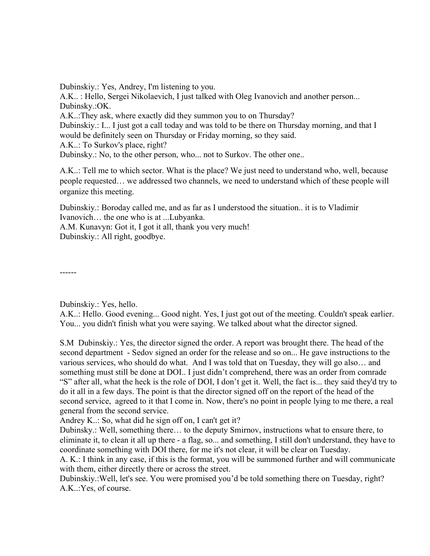Dubinskiy.: Yes, Andrey, I'm listening to you.

A.K.. : Hello, Sergei Nikolaevich, I just talked with Oleg Ivanovich and another person... Dubinsky.:OK.

A.K..:They ask, where exactly did they summon you to on Thursday?

Dubinskiy.: I... I just got a call today and was told to be there on Thursday morning, and that I would be definitely seen on Thursday or Friday morning, so they said.

A.K..: To Surkov's place, right?

Dubinsky.: No, to the other person, who... not to Surkov. The other one..

A.K..: Tell me to which sector. What is the place? We just need to understand who, well, because people requested… we addressed two channels, we need to understand which of these people will organize this meeting.

Dubinskiy.: Boroday called me, and as far as I understood the situation.. it is to Vladimir Ivanovich… the one who is at ...Lubyanka.

A.M. Kunavyn: Got it, I got it all, thank you very much!

Dubinskiy.: All right, goodbye.

------

Dubinskiy.: Yes, hello.

A.K..: Hello. Good evening... Good night. Yes, I just got out of the meeting. Couldn't speak earlier. You... you didn't finish what you were saying. We talked about what the director signed.

S.M Dubinskiy.: Yes, the director signed the order. A report was brought there. The head of the second department - Sedov signed an order for the release and so on... He gave instructions to the various services, who should do what. And I was told that on Tuesday, they will go also… and something must still be done at DOI.. I just didn't comprehend, there was an order from comrade "S" after all, what the heck is the role of DOI, I don't get it. Well, the fact is... they said they'd try to do it all in a few days. The point is that the director signed off on the report of the head of the second service, agreed to it that I come in. Now, there's no point in people lying to me there, a real general from the second service.

Andrey K..: So, what did he sign off on, I can't get it?

Dubinsky.: Well, something there… to the deputy Smirnov, instructions what to ensure there, to eliminate it, to clean it all up there - a flag, so... and something, I still don't understand, they have to coordinate something with DOI there, for me it's not clear, it will be clear on Tuesday.

A. K.: I think in any case, if this is the format, you will be summoned further and will communicate with them, either directly there or across the street.

Dubinskiy.:Well, let's see. You were promised you'd be told something there on Tuesday, right? A.K..:Yes, of course.